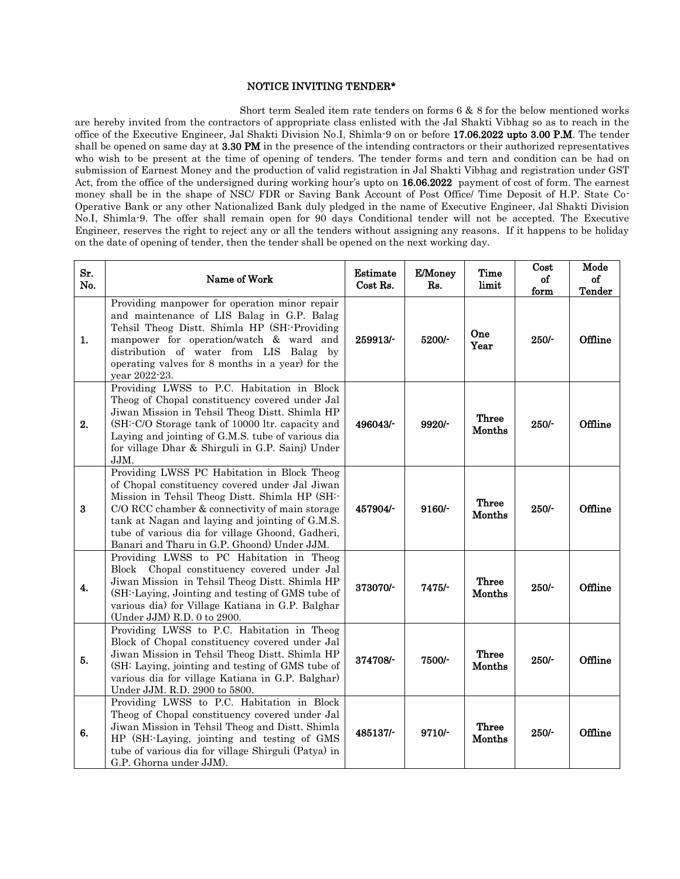## NOTICE INVITING TENDER\*

 Short term Sealed item rate tenders on forms 6 & 8 for the below mentioned works are hereby invited from the contractors of appropriate class enlisted with the Jal Shakti Vibhag so as to reach in the office of the Executive Engineer, Jal Shakti Division No.I, Shimla-9 on or before 17.06.2022 upto 3.00 P.M. The tender shall be opened on same day at 3.30 PM in the presence of the intending contractors or their authorized representatives who wish to be present at the time of opening of tenders. The tender forms and tern and condition can be had on submission of Earnest Money and the production of valid registration in Jal Shakti Vibhag and registration under GST Act, from the office of the undersigned during working hour's upto on 16.06.2022 payment of cost of form. The earnest money shall be in the shape of NSC/ FDR or Saving Bank Account of Post Office/ Time Deposit of H.P. State Co-Operative Bank or any other Nationalized Bank duly pledged in the name of Executive Engineer, Jal Shakti Division No.I, Shimla-9. The offer shall remain open for 90 days Conditional tender will not be accepted. The Executive Engineer, reserves the right to reject any or all the tenders without assigning any reasons. If it happens to be holiday on the date of opening of tender, then the tender shall be opened on the next working day.

| Sr.<br>No.       | Name of Work                                                                                                                                                                                                                                                                                                                                            | Estimate<br>Cost Rs. | E/Money<br>Rs. | <b>Time</b><br>limit | Cost<br>of<br>form | Mode<br>of<br>Tender |
|------------------|---------------------------------------------------------------------------------------------------------------------------------------------------------------------------------------------------------------------------------------------------------------------------------------------------------------------------------------------------------|----------------------|----------------|----------------------|--------------------|----------------------|
| 1.               | Providing manpower for operation minor repair<br>and maintenance of LIS Balag in G.P. Balag<br>Tehsil Theog Distt. Shimla HP (SH:-Providing<br>manpower for operation/watch & ward and<br>distribution of water from LIS Balag by<br>operating valves for 8 months in a year) for the<br>year 2022-23.                                                  | 259913/-             | 5200/-         | One<br>Year          | $250/$ -           | Offline              |
| 2.               | Providing LWSS to P.C. Habitation in Block<br>Theog of Chopal constituency covered under Jal<br>Jiwan Mission in Tehsil Theog Distt. Shimla HP<br>(SH:-C/O Storage tank of 10000 ltr. capacity and<br>Laying and jointing of G.M.S. tube of various dia<br>for village Dhar & Shirguli in G.P. Sainj) Under<br>JJM.                                     | 496043/-             | 9920/-         | Three<br>Months      | 250/               | Offline              |
| $\bf{3}$         | Providing LWSS PC Habitation in Block Theog<br>of Chopal constituency covered under Jal Jiwan<br>Mission in Tehsil Theog Distt. Shimla HP (SH:-<br>C/O RCC chamber & connectivity of main storage<br>tank at Nagan and laying and jointing of G.M.S.<br>tube of various dia for village Ghoond, Gadheri,<br>Banari and Tharu in G.P. Ghoond) Under JJM. | 457904/-             | $9160/-$       | Three<br>Months      | 250/               | Offline              |
| $\overline{4}$ . | Providing LWSS to PC Habitation in Theog<br>Chopal constituency covered under Jal<br>Block<br>Jiwan Mission in Tehsil Theog Distt. Shimla HP<br>(SH:-Laying, Jointing and testing of GMS tube of<br>various dia) for Village Katiana in G.P. Balghar<br>(Under JJM) R.D. 0 to 2900.                                                                     | 373070/-             | $7475/-$       | Three<br>Months      | $250/$ -           | Offline              |
| 5.               | Providing LWSS to P.C. Habitation in Theog<br>Block of Chopal constituency covered under Jal<br>Jiwan Mission in Tehsil Theog Distt. Shimla HP<br>(SH: Laying, jointing and testing of GMS tube of<br>various dia for village Katiana in G.P. Balghar)<br>Under JJM. R.D. 2900 to 5800.                                                                 | 374708/-             | 7500/-         | Three<br>Months      | 250/               | Offline              |
| 6.               | Providing LWSS to P.C. Habitation in Block<br>Theog of Chopal constituency covered under Jal<br>Jiwan Mission in Tehsil Theog and Distt. Shimla<br>HP (SH:-Laying, jointing and testing of GMS<br>tube of various dia for village Shirguli (Patya) in<br>G.P. Ghorna under JJM).                                                                        | 485137/-             | $9710/-$       | Three<br>Months      | $250/-$            | Offline              |